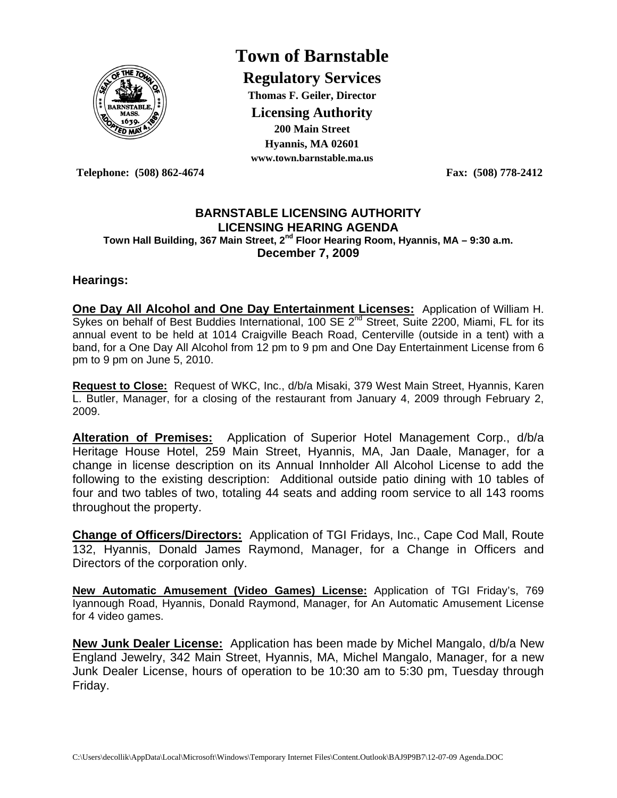

# **Town of Barnstable**

**Regulatory Services Thomas F. Geiler, Director Licensing Authority 200 Main Street Hyannis, MA 02601 www.town.barnstable.ma.us**

**Telephone: (508) 862-4674 Fax: (508) 778-2412** 

#### **BARNSTABLE LICENSING AUTHORITY LICENSING HEARING AGENDA Town Hall Building, 367 Main Street, 2nd Floor Hearing Room, Hyannis, MA – 9:30 a.m. December 7, 2009**

#### **Hearings:**

**One Day All Alcohol and One Day Entertainment Licenses:** Application of William H. Sykes on behalf of Best Buddies International, 100 SE  $2^{nd}$  Street, Suite 2200, Miami, FL for its annual event to be held at 1014 Craigville Beach Road, Centerville (outside in a tent) with a band, for a One Day All Alcohol from 12 pm to 9 pm and One Day Entertainment License from 6 pm to 9 pm on June 5, 2010.

**Request to Close:** Request of WKC, Inc., d/b/a Misaki, 379 West Main Street, Hyannis, Karen L. Butler, Manager, for a closing of the restaurant from January 4, 2009 through February 2, 2009.

**Alteration of Premises:** Application of Superior Hotel Management Corp., d/b/a Heritage House Hotel, 259 Main Street, Hyannis, MA, Jan Daale, Manager, for a change in license description on its Annual Innholder All Alcohol License to add the following to the existing description: Additional outside patio dining with 10 tables of four and two tables of two, totaling 44 seats and adding room service to all 143 rooms throughout the property.

**Change of Officers/Directors:** Application of TGI Fridays, Inc., Cape Cod Mall, Route 132, Hyannis, Donald James Raymond, Manager, for a Change in Officers and Directors of the corporation only.

**New Automatic Amusement (Video Games) License:** Application of TGI Friday's, 769 Iyannough Road, Hyannis, Donald Raymond, Manager, for An Automatic Amusement License for 4 video games.

**New Junk Dealer License:** Application has been made by Michel Mangalo, d/b/a New England Jewelry, 342 Main Street, Hyannis, MA, Michel Mangalo, Manager, for a new Junk Dealer License, hours of operation to be 10:30 am to 5:30 pm, Tuesday through Friday.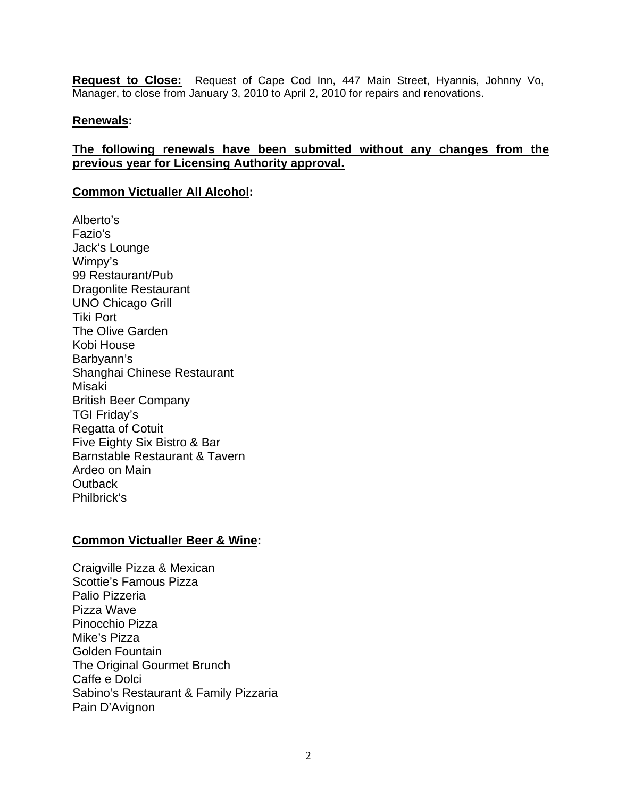**Request to Close:** Request of Cape Cod Inn, 447 Main Street, Hyannis, Johnny Vo, Manager, to close from January 3, 2010 to April 2, 2010 for repairs and renovations.

#### **Renewals:**

# **The following renewals have been submitted without any changes from the previous year for Licensing Authority approval.**

#### **Common Victualler All Alcohol:**

Alberto's Fazio's Jack's Lounge Wimpy's 99 Restaurant/Pub Dragonlite Restaurant UNO Chicago Grill Tiki Port The Olive Garden Kobi House Barbyann's Shanghai Chinese Restaurant Misaki British Beer Company TGI Friday's Regatta of Cotuit Five Eighty Six Bistro & Bar Barnstable Restaurant & Tavern Ardeo on Main **Outback** Philbrick's

#### **Common Victualler Beer & Wine:**

Craigville Pizza & Mexican Scottie's Famous Pizza Palio Pizzeria Pizza Wave Pinocchio Pizza Mike's Pizza Golden Fountain The Original Gourmet Brunch Caffe e Dolci Sabino's Restaurant & Family Pizzaria Pain D'Avignon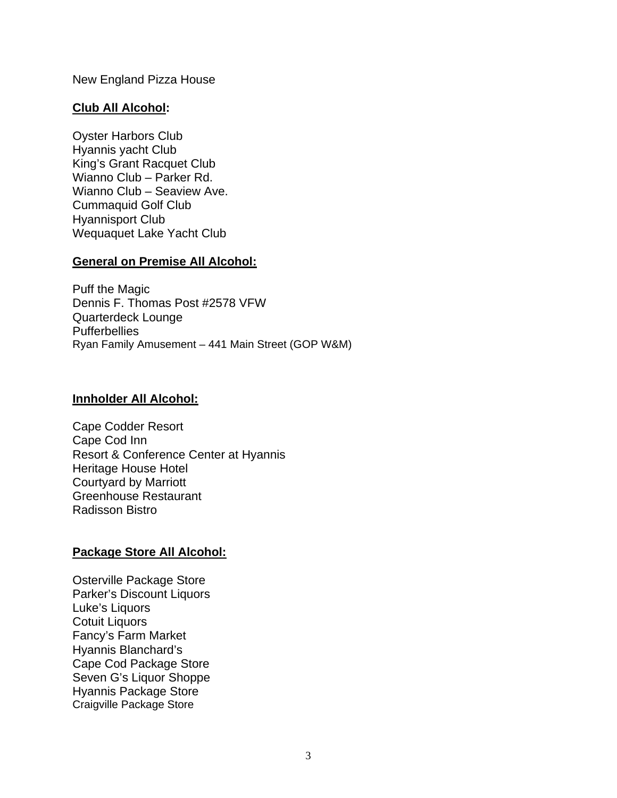New England Pizza House

# **Club All Alcohol:**

Oyster Harbors Club Hyannis yacht Club King's Grant Racquet Club Wianno Club – Parker Rd. Wianno Club – Seaview Ave. Cummaquid Golf Club Hyannisport Club Wequaquet Lake Yacht Club

# **General on Premise All Alcohol:**

Puff the Magic Dennis F. Thomas Post #2578 VFW Quarterdeck Lounge **Pufferbellies** Ryan Family Amusement – 441 Main Street (GOP W&M)

# **Innholder All Alcohol:**

Cape Codder Resort Cape Cod Inn Resort & Conference Center at Hyannis Heritage House Hotel Courtyard by Marriott Greenhouse Restaurant Radisson Bistro

# **Package Store All Alcohol:**

Osterville Package Store Parker's Discount Liquors Luke's Liquors Cotuit Liquors Fancy's Farm Market Hyannis Blanchard's Cape Cod Package Store Seven G's Liquor Shoppe Hyannis Package Store Craigville Package Store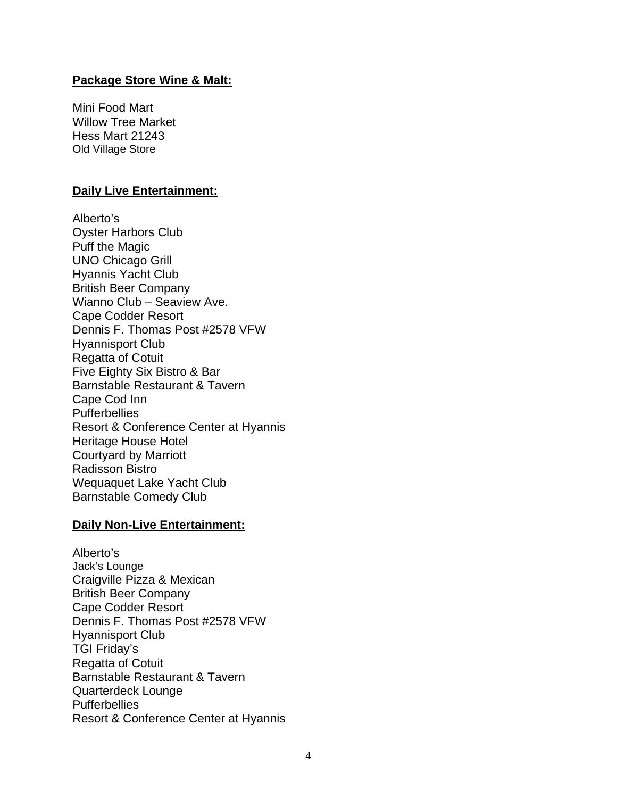#### **Package Store Wine & Malt:**

Mini Food Mart Willow Tree Market Hess Mart 21243 Old Village Store

#### **Daily Live Entertainment:**

Alberto's Oyster Harbors Club Puff the Magic UNO Chicago Grill Hyannis Yacht Club British Beer Company Wianno Club – Seaview Ave. Cape Codder Resort Dennis F. Thomas Post #2578 VFW Hyannisport Club Regatta of Cotuit Five Eighty Six Bistro & Bar Barnstable Restaurant & Tavern Cape Cod Inn **Pufferbellies** Resort & Conference Center at Hyannis Heritage House Hotel Courtyard by Marriott Radisson Bistro Wequaquet Lake Yacht Club Barnstable Comedy Club

#### **Daily Non-Live Entertainment:**

Alberto's Jack's Lounge Craigville Pizza & Mexican British Beer Company Cape Codder Resort Dennis F. Thomas Post #2578 VFW Hyannisport Club TGI Friday's Regatta of Cotuit Barnstable Restaurant & Tavern Quarterdeck Lounge **Pufferbellies** Resort & Conference Center at Hyannis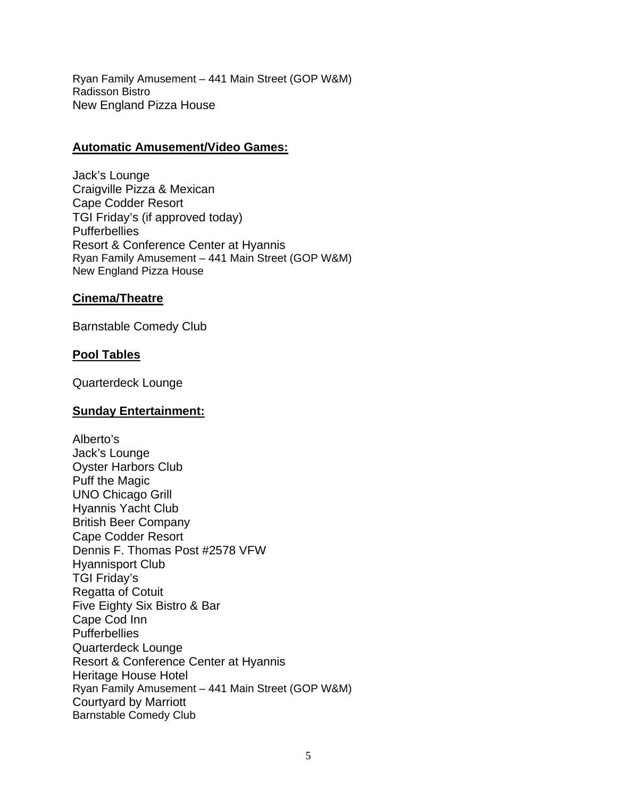Ryan Family Amusement – 441 Main Street (GOP W&M) Radisson Bistro New England Pizza House

#### **Automatic Amusement/Video Games:**

Jack's Lounge Craigville Pizza & Mexican Cape Codder Resort TGI Friday's (if approved today) **Pufferbellies** Resort & Conference Center at Hyannis Ryan Family Amusement – 441 Main Street (GOP W&M) New England Pizza House

# **Cinema/Theatre**

Barnstable Comedy Club

# **Pool Tables**

Quarterdeck Lounge

# **Sunday Entertainment:**

Alberto's Jack's Lounge Oyster Harbors Club Puff the Magic UNO Chicago Grill Hyannis Yacht Club British Beer Company Cape Codder Resort Dennis F. Thomas Post #2578 VFW Hyannisport Club TGI Friday's Regatta of Cotuit Five Eighty Six Bistro & Bar Cape Cod Inn **Pufferbellies** Quarterdeck Lounge Resort & Conference Center at Hyannis Heritage House Hotel Ryan Family Amusement – 441 Main Street (GOP W&M) Courtyard by Marriott Barnstable Comedy Club